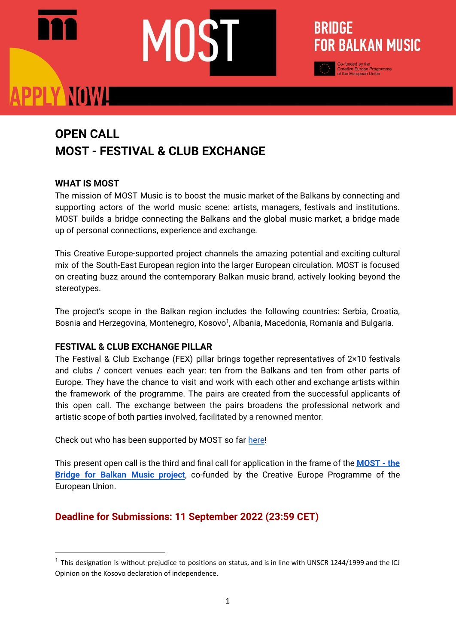## PLY NOWA

### **OPEN CALL MOST - FESTIVAL & CLUB EXCHANGE**

#### **WHAT IS MOST**

The mission of MOST Music is to boost the music market of the Balkans by connecting and supporting actors of the world music scene: artists, managers, festivals and institutions. MOST builds a bridge connecting the Balkans and the global music market, a bridge made up of personal connections, experience and exchange.

BRIDGE

**FOR BALKAN MUSIC** 

This Creative Europe-supported project channels the amazing potential and exciting cultural mix of the South-East European region into the larger European circulation. MOST is focused on creating buzz around the contemporary Balkan music brand, actively looking beyond the stereotypes.

The project's scope in the Balkan region includes the following countries: Serbia, Croatia, Bosnia and Herzegovina, Montenegro, Kosovo<sup>1</sup>, Albania, Macedonia, Romania and Bulgaria.

#### **FESTIVAL & CLUB EXCHANGE PILLAR**

The Festival & Club Exchange (FEX) pillar brings together representatives of 2×10 festivals and clubs / concert venues each year: ten from the Balkans and ten from other parts of Europe. They have the chance to visit and work with each other and exchange artists within the framework of the programme. The pairs are created from the successful applicants of this open call. The exchange between the pairs broadens the professional network and artistic scope of both parties involved, facilitated by a renowned mentor.

Check out who has been supported by MOST so far [here!](https://mostmusic.eu/festivals/)

This present open call is the third and final call for application in the frame of the **[MOST](https://mostmusic.eu/) - the Bridge for Balkan Music [project](https://mostmusic.eu/)**, co-funded by the Creative Europe Programme of the European Union.

#### **Deadline for Submissions: 11 September 2022 (23:59 CET)**

 $1$  This designation is without prejudice to positions on status, and is in line with UNSCR 1244/1999 and the ICJ Opinion on the Kosovo declaration of independence.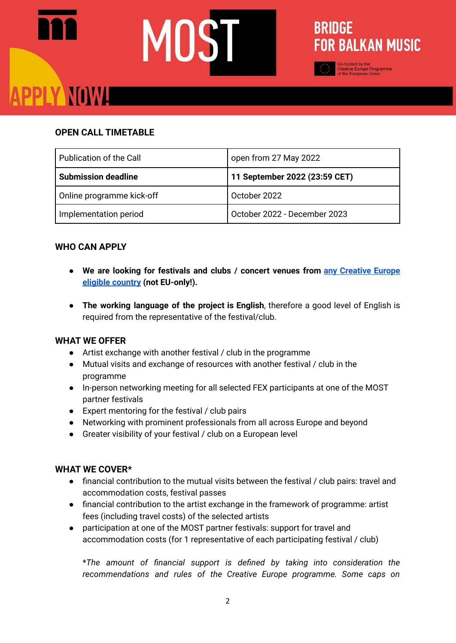# PLY NOWL



#### **OPEN CALL TIMETABLE**

| Publication of the Call    | open from 27 May 2022         |
|----------------------------|-------------------------------|
| <b>Submission deadline</b> | 11 September 2022 (23:59 CET) |
| Online programme kick-off  | October 2022                  |
| Implementation period      | October 2022 - December 2023  |

#### **WHO CAN APPLY**

- **● We are looking for festivals and clubs / concert venues from any [Creative](https://ec.europa.eu/info/funding-tenders/opportunities/docs/2021-2027/crea/guidance/list-3rd-country-participation_crea_en.pdf) Europe eligible [country](https://ec.europa.eu/info/funding-tenders/opportunities/docs/2021-2027/crea/guidance/list-3rd-country-participation_crea_en.pdf) (not EU-only!).**
- **The working language of the project is English**, therefore a good level of English is required from the representative of the festival/club.

#### **WHAT WE OFFER**

- Artist exchange with another festival / club in the programme
- Mutual visits and exchange of resources with another festival / club in the programme
- In-person networking meeting for all selected FEX participants at one of the MOST partner festivals
- Expert mentoring for the festival / club pairs
- Networking with prominent professionals from all across Europe and beyond
- Greater visibility of your festival / club on a European level

#### **WHAT WE COVER\***

- financial contribution to the mutual visits between the festival / club pairs: travel and accommodation costs, festival passes
- financial contribution to the artist exchange in the framework of programme: artist fees (including travel costs) of the selected artists
- participation at one of the MOST partner festivals: support for travel and accommodation costs (for 1 representative of each participating festival / club)

\**The amount of financial support is defined by taking into consideration the recommendations and rules of the Creative Europe programme. Some caps on*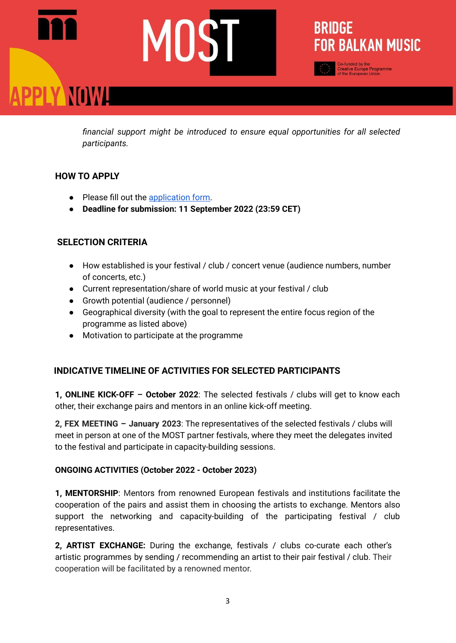## BRIDGE **FOR BALKAN MUSIC** PLY NOWH

*financial support might be introduced to ensure equal opportunities for all selected participants.*

#### **HOW TO APPLY**

- Please fill out the [application](https://forms.gle/ioxHL22LFx5gJbUM7) form.
- **● Deadline for submission: 11 September 2022 (23:59 CET)**

#### **SELECTION CRITERIA**

- How established is your festival / club / concert venue (audience numbers, number of concerts, etc.)
- Current representation/share of world music at your festival / club
- Growth potential (audience / personnel)
- Geographical diversity (with the goal to represent the entire focus region of the programme as listed above)
- Motivation to participate at the programme

#### **INDICATIVE TIMELINE OF ACTIVITIES FOR SELECTED PARTICIPANTS**

**1, ONLINE KICK-OFF – October 2022**: The selected festivals / clubs will get to know each other, their exchange pairs and mentors in an online kick-off meeting.

**2, FEX MEETING – January 2023**: The representatives of the selected festivals / clubs will meet in person at one of the MOST partner festivals, where they meet the delegates invited to the festival and participate in capacity-building sessions.

#### **ONGOING ACTIVITIES (October 2022 - October 2023)**

**1, MENTORSHIP**: Mentors from renowned European festivals and institutions facilitate the cooperation of the pairs and assist them in choosing the artists to exchange. Mentors also support the networking and capacity-building of the participating festival / club representatives.

**2, ARTIST EXCHANGE:** During the exchange, festivals / clubs co-curate each other's artistic programmes by sending / recommending an artist to their pair festival / club. Their cooperation will be facilitated by a renowned mentor.